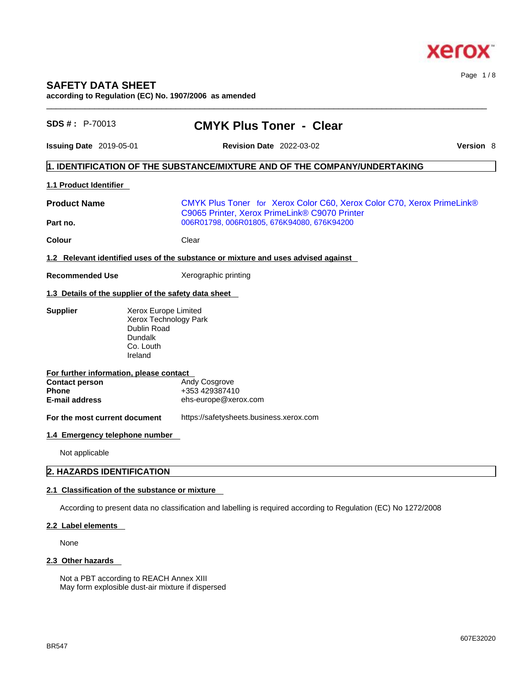

# **SAFETY DATA SHEET**

**according to Regulation (EC) No. 1907/2006 as amended** 

| $SDS #: P-70013$                                        | <b>CMYK Plus Toner - Clear</b>                                                                                          |                  |
|---------------------------------------------------------|-------------------------------------------------------------------------------------------------------------------------|------------------|
| <b>Issuing Date</b> 2019-05-01                          | <b>Revision Date 2022-03-02</b>                                                                                         | <b>Version 8</b> |
|                                                         | 1. IDENTIFICATION OF THE SUBSTANCE/MIXTURE AND OF THE COMPANY/UNDERTAKING                                               |                  |
| <b>1.1 Product Identifier</b>                           |                                                                                                                         |                  |
| <b>Product Name</b>                                     | CMYK Plus Toner for Xerox Color C60, Xerox Color C70, Xerox PrimeLink®<br>C9065 Printer, Xerox PrimeLink® C9070 Printer |                  |
| Part no.                                                | 006R01798, 006R01805, 676K94080, 676K94200                                                                              |                  |
| Colour                                                  | Clear                                                                                                                   |                  |
|                                                         | 1.2 Relevant identified uses of the substance or mixture and uses advised against                                       |                  |
| <b>Recommended Use</b>                                  | Xerographic printing                                                                                                    |                  |
|                                                         | 1.3 Details of the supplier of the safety data sheet                                                                    |                  |
| <b>Supplier</b>                                         | Xerox Europe Limited<br>Xerox Technology Park<br>Dublin Road<br><b>Dundalk</b><br>Co. Louth<br>Ireland                  |                  |
| For further information, please contact                 |                                                                                                                         |                  |
| <b>Contact person</b><br><b>Phone</b><br>E-mail address | Andy Cosgrove<br>+353 429387410<br>ehs-europe@xerox.com                                                                 |                  |
| For the most current document                           | https://safetysheets.business.xerox.com                                                                                 |                  |
| 1.4 Emergency telephone number                          |                                                                                                                         |                  |
| Not applicable                                          |                                                                                                                         |                  |
| 2. HAZARDS IDENTIFICATION                               |                                                                                                                         |                  |
|                                                         | 2.1 Classification of the substance or mixture                                                                          |                  |
|                                                         | According to present data no classification and labelling is required according to Regulation (EC) No 1272/2008         |                  |
| 2.2 Label elements                                      |                                                                                                                         |                  |
| None                                                    |                                                                                                                         |                  |
|                                                         |                                                                                                                         |                  |

 $\_$  ,  $\_$  ,  $\_$  ,  $\_$  ,  $\_$  ,  $\_$  ,  $\_$  ,  $\_$  ,  $\_$  ,  $\_$  ,  $\_$  ,  $\_$  ,  $\_$  ,  $\_$  ,  $\_$  ,  $\_$  ,  $\_$  ,  $\_$  ,  $\_$  ,  $\_$  ,  $\_$  ,  $\_$  ,  $\_$  ,  $\_$  ,  $\_$  ,  $\_$  ,  $\_$  ,  $\_$  ,  $\_$  ,  $\_$  ,  $\_$  ,  $\_$  ,  $\_$  ,  $\_$  ,  $\_$  ,  $\_$  ,  $\_$  ,

# **2.3 Other hazards**

Not a PBT according to REACH Annex XIII May form explosible dust-air mixture if dispersed Page 1 / 8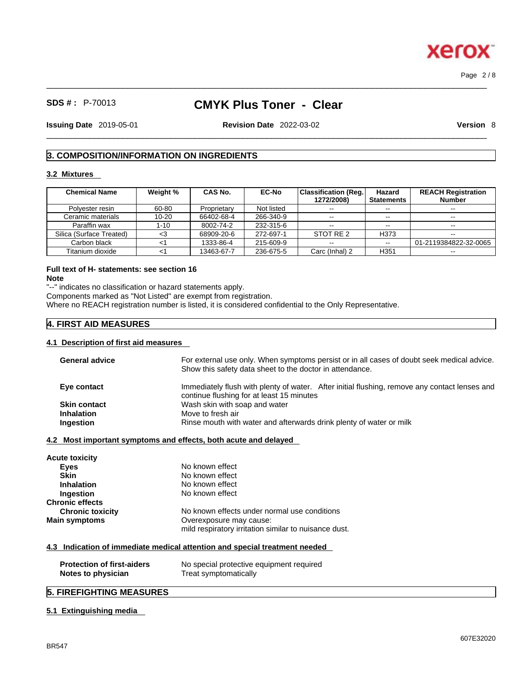# **SDS # :** P-70013 **CMYK Plus Toner - Clear**

 $\_$  ,  $\_$  ,  $\_$  ,  $\_$  ,  $\_$  ,  $\_$  ,  $\_$  ,  $\_$  ,  $\_$  ,  $\_$  ,  $\_$  ,  $\_$  ,  $\_$  ,  $\_$  ,  $\_$  ,  $\_$  ,  $\_$  ,  $\_$  ,  $\_$  ,  $\_$  ,  $\_$  ,  $\_$  ,  $\_$  ,  $\_$  ,  $\_$  ,  $\_$  ,  $\_$  ,  $\_$  ,  $\_$  ,  $\_$  ,  $\_$  ,  $\_$  ,  $\_$  ,  $\_$  ,  $\_$  ,  $\_$  ,  $\_$  ,

 $\_$  ,  $\_$  ,  $\_$  ,  $\_$  ,  $\_$  ,  $\_$  ,  $\_$  ,  $\_$  ,  $\_$  ,  $\_$  ,  $\_$  ,  $\_$  ,  $\_$  ,  $\_$  ,  $\_$  ,  $\_$  ,  $\_$  ,  $\_$  ,  $\_$  ,  $\_$  ,  $\_$  ,  $\_$  ,  $\_$  ,  $\_$  ,  $\_$  ,  $\_$  ,  $\_$  ,  $\_$  ,  $\_$  ,  $\_$  ,  $\_$  ,  $\_$  ,  $\_$  ,  $\_$  ,  $\_$  ,  $\_$  ,  $\_$  , **Issuing Date** 2019-05-01 **Revision Date** 2022-03-02 **Version** 8

Page 2 / 8

# **3. COMPOSITION/INFORMATION ON INGREDIENTS**

### **3.2 Mixtures**

| <b>Chemical Name</b>     | Weight %  | <b>CAS No.</b> | <b>EC-No</b> | <b>Classification (Reg.)</b><br>1272/2008) | Hazard<br><b>Statements</b> | <b>REACH Registration</b><br><b>Number</b> |
|--------------------------|-----------|----------------|--------------|--------------------------------------------|-----------------------------|--------------------------------------------|
| Polyester resin          | 60-80     | Proprietary    | Not listed   | $\sim$ $\sim$                              | $- -$                       | $\overline{\phantom{a}}$                   |
| Ceramic materials        | $10 - 20$ | 66402-68-4     | 266-340-9    | $- -$                                      | $- -$                       |                                            |
| Paraffin wax             | 1-10      | 8002-74-2      | 232-315-6    | $\sim$ $\sim$                              | $- -$                       |                                            |
| Silica (Surface Treated) | <3        | 68909-20-6     | 272-697-1    | STOT RE 2                                  | H373                        | $- -$                                      |
| Carbon black             |           | 1333-86-4      | 215-609-9    | $\sim$ $\sim$                              | $\sim$ $\sim$               | 01-2119384822-32-0065                      |
| Titanium dioxide         |           | 13463-67-7     | 236-675-5    | Carc (Inhal) 2                             | H351                        | --                                         |

# **Full text of H- statements: see section 16**

**Note**

"--" indicates no classification or hazard statements apply.

Components marked as "Not Listed" are exempt from registration.

Where no REACH registration number is listed, it is considered confidential to the Only Representative.

# **4. FIRST AID MEASURES**

## **4.1 Description of first aid measures**

| <b>General advice</b>                                   | For external use only. When symptoms persist or in all cases of doubt seek medical advice.<br>Show this safety data sheet to the doctor in attendance. |
|---------------------------------------------------------|--------------------------------------------------------------------------------------------------------------------------------------------------------|
| Eye contact                                             | Immediately flush with plenty of water. After initial flushing, remove any contact lenses and<br>continue flushing for at least 15 minutes             |
| <b>Skin contact</b>                                     | Wash skin with soap and water                                                                                                                          |
| <b>Inhalation</b>                                       | Move to fresh air                                                                                                                                      |
| Ingestion                                               | Rinse mouth with water and afterwards drink plenty of water or milk                                                                                    |
|                                                         | 4.2 Most important symptoms and effects, both acute and delayed                                                                                        |
| Acute toxicity                                          |                                                                                                                                                        |
| <b>Eyes</b>                                             | No known effect                                                                                                                                        |
| <b>Skin</b>                                             | No known effect                                                                                                                                        |
| <b>Inhalation</b>                                       | No known effect                                                                                                                                        |
| Ingestion                                               | No known effect                                                                                                                                        |
| <b>Chronic effects</b>                                  |                                                                                                                                                        |
| <b>Chronic toxicity</b>                                 | No known effects under normal use conditions                                                                                                           |
| <b>Main symptoms</b>                                    | Overexposure may cause:                                                                                                                                |
|                                                         | mild respiratory irritation similar to nuisance dust.                                                                                                  |
|                                                         | 4.3 Indication of immediate medical attention and special treatment needed                                                                             |
| <b>Protection of first-aiders</b><br>Notes to physician | No special protective equipment required<br>Treat symptomatically                                                                                      |

# **5. FIREFIGHTING MEASURES**

### **5.1 Extinguishing media**

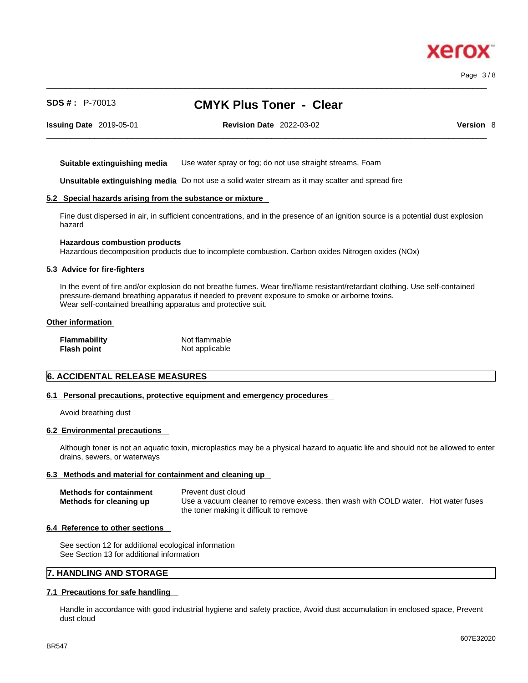Page 3 / 8

# **SDS # :** P-70013 **CMYK Plus Toner - Clear**

 $\_$  ,  $\_$  ,  $\_$  ,  $\_$  ,  $\_$  ,  $\_$  ,  $\_$  ,  $\_$  ,  $\_$  ,  $\_$  ,  $\_$  ,  $\_$  ,  $\_$  ,  $\_$  ,  $\_$  ,  $\_$  ,  $\_$  ,  $\_$  ,  $\_$  ,  $\_$  ,  $\_$  ,  $\_$  ,  $\_$  ,  $\_$  ,  $\_$  ,  $\_$  ,  $\_$  ,  $\_$  ,  $\_$  ,  $\_$  ,  $\_$  ,  $\_$  ,  $\_$  ,  $\_$  ,  $\_$  ,  $\_$  ,  $\_$  ,

**Issuing Date** 2019-05-01 **Revision Date** 2022-03-02 **Version** 8

 $\_$  ,  $\_$  ,  $\_$  ,  $\_$  ,  $\_$  ,  $\_$  ,  $\_$  ,  $\_$  ,  $\_$  ,  $\_$  ,  $\_$  ,  $\_$  ,  $\_$  ,  $\_$  ,  $\_$  ,  $\_$  ,  $\_$  ,  $\_$  ,  $\_$  ,  $\_$  ,  $\_$  ,  $\_$  ,  $\_$  ,  $\_$  ,  $\_$  ,  $\_$  ,  $\_$  ,  $\_$  ,  $\_$  ,  $\_$  ,  $\_$  ,  $\_$  ,  $\_$  ,  $\_$  ,  $\_$  ,  $\_$  ,  $\_$  ,

**Suitable extinguishing media** Use water spray or fog; do not use straight streams, Foam

**Unsuitable extinguishing media** Do not use a solid water stream as it may scatterand spread fire

#### **5.2 Special hazards arising from the substance or mixture**

Fine dust dispersed in air, in sufficient concentrations, and in the presence of an ignition source is a potential dust explosion hazard

#### **Hazardous combustion products**

Hazardous decomposition products due to incomplete combustion. Carbon oxides Nitrogen oxides (NOx)

#### **5.3 Advice for fire-fighters**

In the event of fire and/or explosion do not breathe fumes. Wear fire/flame resistant/retardant clothing. Use self-contained pressure-demand breathing apparatus if needed to prevent exposure to smoke or airborne toxins. Wear self-contained breathing apparatus and protective suit.

#### **Other information**

| Flammability | Not flammable  |
|--------------|----------------|
| Flash point  | Not applicable |

#### **6. ACCIDENTAL RELEASE MEASURES**

#### **6.1 Personal precautions, protective equipment and emergency procedures**

Avoid breathing dust

#### **6.2 Environmental precautions**

Although toner is not an aquatic toxin, microplastics may be a physical hazard to aquatic life and should not be allowed to enter drains, sewers, or waterways

#### **6.3 Methods and material for containment and cleaning up**

| <b>Methods for containment</b> | Prevent dust cloud                                                                |  |
|--------------------------------|-----------------------------------------------------------------------------------|--|
| Methods for cleaning up        | Use a vacuum cleaner to remove excess, then wash with COLD water. Hot water fuses |  |
|                                | the toner making it difficult to remove                                           |  |

#### **6.4 Reference to other sections**

See section 12 for additional ecological information See Section 13 for additional information

# **7. HANDLING AND STORAGE**

#### **7.1 Precautions for safe handling**

Handle in accordance with good industrial hygiene and safety practice, Avoid dust accumulation in enclosed space, Prevent dust cloud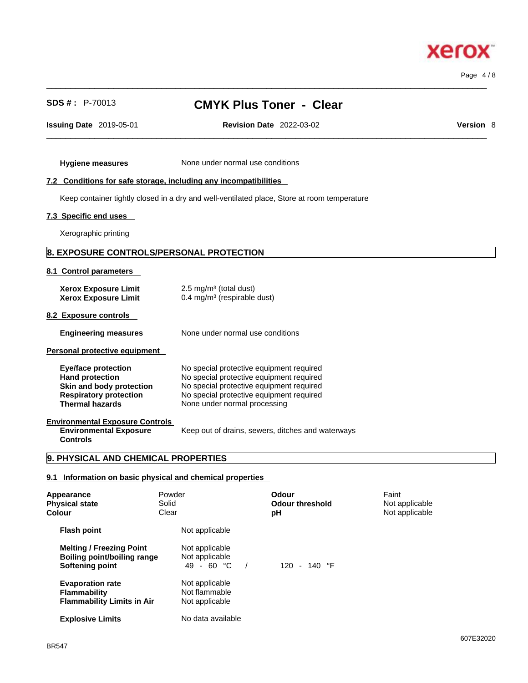607E32020

# **Xerox**

Page 4 / 8

# **SDS # :** P-70013 **CMYK Plus Toner - Clear**

 $\_$  ,  $\_$  ,  $\_$  ,  $\_$  ,  $\_$  ,  $\_$  ,  $\_$  ,  $\_$  ,  $\_$  ,  $\_$  ,  $\_$  ,  $\_$  ,  $\_$  ,  $\_$  ,  $\_$  ,  $\_$  ,  $\_$  ,  $\_$  ,  $\_$  ,  $\_$  ,  $\_$  ,  $\_$  ,  $\_$  ,  $\_$  ,  $\_$  ,  $\_$  ,  $\_$  ,  $\_$  ,  $\_$  ,  $\_$  ,  $\_$  ,  $\_$  ,  $\_$  ,  $\_$  ,  $\_$  ,  $\_$  ,  $\_$  ,

 $\_$  ,  $\_$  ,  $\_$  ,  $\_$  ,  $\_$  ,  $\_$  ,  $\_$  ,  $\_$  ,  $\_$  ,  $\_$  ,  $\_$  ,  $\_$  ,  $\_$  ,  $\_$  ,  $\_$  ,  $\_$  ,  $\_$  ,  $\_$  ,  $\_$  ,  $\_$  ,  $\_$  ,  $\_$  ,  $\_$  ,  $\_$  ,  $\_$  ,  $\_$  ,  $\_$  ,  $\_$  ,  $\_$  ,  $\_$  ,  $\_$  ,  $\_$  ,  $\_$  ,  $\_$  ,  $\_$  ,  $\_$  ,  $\_$  ,

**Issuing Date** 2019-05-01 **Revision Date** 2022-03-02 **Version** 8

**Hygiene measures** None under normal use conditions

## **7.2 Conditions for safe storage, including any incompatibilities**

Keep container tightly closed in a dry and well-ventilated place, Store at room temperature

### **7.3 Specific end uses**

Xerographic printing

# **8. EXPOSURE CONTROLS/PERSONAL PROTECTION**

#### **8.1 Control parameters**

| <b>Xerox Exposure Limit</b><br><b>Xerox Exposure Limit</b>                                                                                  | $2.5 \text{ mg/m}^3$ (total dust)<br>0.4 mg/m <sup>3</sup> (respirable dust)                                                                                                                                 |
|---------------------------------------------------------------------------------------------------------------------------------------------|--------------------------------------------------------------------------------------------------------------------------------------------------------------------------------------------------------------|
| 8.2 Exposure controls                                                                                                                       |                                                                                                                                                                                                              |
| <b>Engineering measures</b>                                                                                                                 | None under normal use conditions                                                                                                                                                                             |
| Personal protective equipment                                                                                                               |                                                                                                                                                                                                              |
| <b>Eye/face protection</b><br><b>Hand protection</b><br>Skin and body protection<br><b>Respiratory protection</b><br><b>Thermal hazards</b> | No special protective equipment required<br>No special protective equipment required<br>No special protective equipment required<br>No special protective equipment required<br>None under normal processing |
| <b>Environmental Exposure Controls</b><br><b>Environmental Exposure</b><br><b>Controls</b>                                                  | Keep out of drains, sewers, ditches and waterways                                                                                                                                                            |

# **9. PHYSICAL AND CHEMICAL PROPERTIES**

# **9.1 Information on basic physical and chemical properties**

| Appearance<br><b>Physical state</b><br>Colour                                       | Powder<br>Solid<br>Clear                          | Odour<br><b>Odour threshold</b><br>рH | Faint<br>Not applicable<br>Not applicable |
|-------------------------------------------------------------------------------------|---------------------------------------------------|---------------------------------------|-------------------------------------------|
| <b>Flash point</b>                                                                  | Not applicable                                    |                                       |                                           |
| <b>Melting / Freezing Point</b><br>Boiling point/boiling range<br>Softening point   | Not applicable<br>Not applicable<br>49 - 60 °C    | 120 - 140 $\degree$ F                 |                                           |
| <b>Evaporation rate</b><br><b>Flammability</b><br><b>Flammability Limits in Air</b> | Not applicable<br>Not flammable<br>Not applicable |                                       |                                           |
| <b>Explosive Limits</b>                                                             | No data available                                 |                                       |                                           |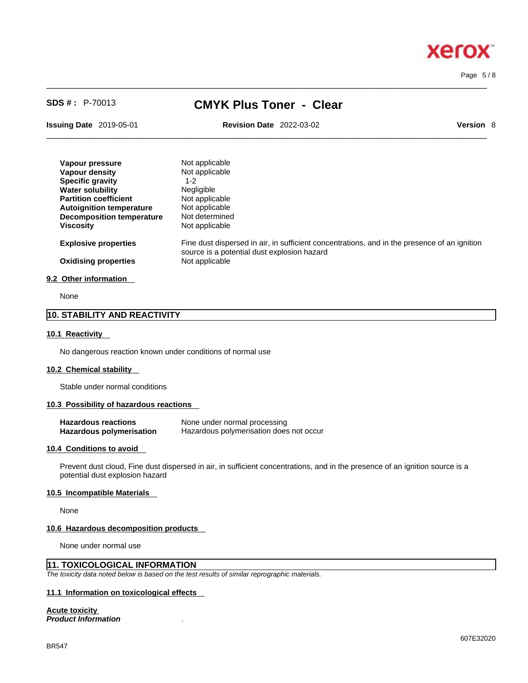Page 5 / 8

# **SDS # :** P-70013 **CMYK Plus Toner - Clear**

 $\_$  ,  $\_$  ,  $\_$  ,  $\_$  ,  $\_$  ,  $\_$  ,  $\_$  ,  $\_$  ,  $\_$  ,  $\_$  ,  $\_$  ,  $\_$  ,  $\_$  ,  $\_$  ,  $\_$  ,  $\_$  ,  $\_$  ,  $\_$  ,  $\_$  ,  $\_$  ,  $\_$  ,  $\_$  ,  $\_$  ,  $\_$  ,  $\_$  ,  $\_$  ,  $\_$  ,  $\_$  ,  $\_$  ,  $\_$  ,  $\_$  ,  $\_$  ,  $\_$  ,  $\_$  ,  $\_$  ,  $\_$  ,  $\_$  ,

**Issuing Date** 2019-05-01 **Revision Date** 2022-03-02 **Version** 8

 $\_$  ,  $\_$  ,  $\_$  ,  $\_$  ,  $\_$  ,  $\_$  ,  $\_$  ,  $\_$  ,  $\_$  ,  $\_$  ,  $\_$  ,  $\_$  ,  $\_$  ,  $\_$  ,  $\_$  ,  $\_$  ,  $\_$  ,  $\_$  ,  $\_$  ,  $\_$  ,  $\_$  ,  $\_$  ,  $\_$  ,  $\_$  ,  $\_$  ,  $\_$  ,  $\_$  ,  $\_$  ,  $\_$  ,  $\_$  ,  $\_$  ,  $\_$  ,  $\_$  ,  $\_$  ,  $\_$  ,  $\_$  ,  $\_$  ,

| Vapour pressure                  | Not applicable                                                                                                                              |
|----------------------------------|---------------------------------------------------------------------------------------------------------------------------------------------|
| Vapour density                   | Not applicable                                                                                                                              |
| <b>Specific gravity</b>          | $1 - 2$                                                                                                                                     |
| <b>Water solubility</b>          | Negligible                                                                                                                                  |
| <b>Partition coefficient</b>     | Not applicable                                                                                                                              |
| <b>Autoignition temperature</b>  | Not applicable                                                                                                                              |
| <b>Decomposition temperature</b> | Not determined                                                                                                                              |
| <b>Viscosity</b>                 | Not applicable                                                                                                                              |
| <b>Explosive properties</b>      | Fine dust dispersed in air, in sufficient concentrations, and in the presence of an ignition<br>source is a potential dust explosion hazard |
| <b>Oxidising properties</b>      | Not applicable                                                                                                                              |
| 9.2 Other information            |                                                                                                                                             |

None

# **10. STABILITY AND REACTIVITY**

#### **10.1 Reactivity**

No dangerous reaction known under conditions of normal use

#### **10.2 Chemical stability**

Stable under normal conditions

#### **10.3 Possibility of hazardous reactions**

| <b>Hazardous reactions</b> | None under normal processing            |
|----------------------------|-----------------------------------------|
| Hazardous polymerisation   | Hazardous polymerisation does not occur |

#### **10.4 Conditions to avoid**

Prevent dust cloud, Fine dust dispersed in air, in sufficient concentrations, and in the presence of an ignition source is a potential dust explosion hazard

#### **10.5 Incompatible Materials**

None

#### **10.6 Hazardous decomposition products**

None under normal use

# **11. TOXICOLOGICAL INFORMATION**

*The toxicity data noted below is based on the test results of similar reprographic materials.* 

# **11.1 Information on toxicological effects**

**Acute toxicity**

*Product Information* .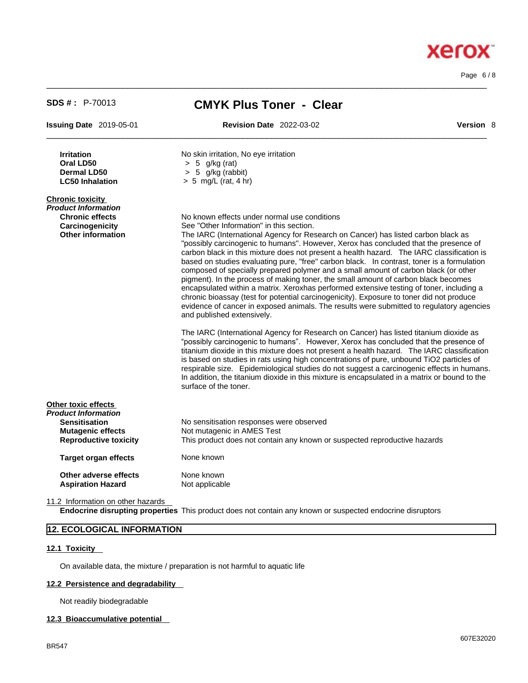Page 6 / 8

**Xerox** 

| <b>SDS #: P-70013</b>                                                                                                   | <b>CMYK Plus Toner - Clear</b>                                                                                                                                                                                                                                                                                                                                                                                                                                                                                                                                                                                                                                                                                                                                                                                                                                                                                                                                  |  |  |
|-------------------------------------------------------------------------------------------------------------------------|-----------------------------------------------------------------------------------------------------------------------------------------------------------------------------------------------------------------------------------------------------------------------------------------------------------------------------------------------------------------------------------------------------------------------------------------------------------------------------------------------------------------------------------------------------------------------------------------------------------------------------------------------------------------------------------------------------------------------------------------------------------------------------------------------------------------------------------------------------------------------------------------------------------------------------------------------------------------|--|--|
| <b>Issuing Date 2019-05-01</b>                                                                                          | <b>Revision Date 2022-03-02</b><br><b>Version 8</b>                                                                                                                                                                                                                                                                                                                                                                                                                                                                                                                                                                                                                                                                                                                                                                                                                                                                                                             |  |  |
| <b>Irritation</b><br>Oral LD50<br><b>Dermal LD50</b><br><b>LC50 Inhalation</b>                                          | No skin irritation, No eye irritation<br>$> 5$ g/kg (rat)<br>$> 5$ g/kg (rabbit)<br>$> 5$ mg/L (rat, 4 hr)                                                                                                                                                                                                                                                                                                                                                                                                                                                                                                                                                                                                                                                                                                                                                                                                                                                      |  |  |
| <b>Chronic toxicity</b><br>Product Information<br><b>Chronic effects</b><br>Carcinogenicity<br><b>Other information</b> | No known effects under normal use conditions<br>See "Other Information" in this section.<br>The IARC (International Agency for Research on Cancer) has listed carbon black as<br>"possibly carcinogenic to humans". However, Xerox has concluded that the presence of<br>carbon black in this mixture does not present a health hazard. The IARC classification is<br>based on studies evaluating pure, "free" carbon black. In contrast, toner is a formulation<br>composed of specially prepared polymer and a small amount of carbon black (or other<br>pigment). In the process of making toner, the small amount of carbon black becomes<br>encapsulated within a matrix. Xeroxhas performed extensive testing of toner, including a<br>chronic bioassay (test for potential carcinogenicity). Exposure to toner did not produce<br>evidence of cancer in exposed animals. The results were submitted to regulatory agencies<br>and published extensively. |  |  |
|                                                                                                                         | The IARC (International Agency for Research on Cancer) has listed titanium dioxide as<br>"possibly carcinogenic to humans". However, Xerox has concluded that the presence of<br>titanium dioxide in this mixture does not present a health hazard. The IARC classification<br>is based on studies in rats using high concentrations of pure, unbound TiO2 particles of<br>respirable size. Epidemiological studies do not suggest a carcinogenic effects in humans.<br>In addition, the titanium dioxide in this mixture is encapsulated in a matrix or bound to the<br>surface of the toner.                                                                                                                                                                                                                                                                                                                                                                  |  |  |
| Other toxic effects<br>Product Information                                                                              |                                                                                                                                                                                                                                                                                                                                                                                                                                                                                                                                                                                                                                                                                                                                                                                                                                                                                                                                                                 |  |  |
| <b>Sensitisation</b>                                                                                                    | No sensitisation responses were observed                                                                                                                                                                                                                                                                                                                                                                                                                                                                                                                                                                                                                                                                                                                                                                                                                                                                                                                        |  |  |
| <b>Mutagenic effects</b><br><b>Reproductive toxicity</b>                                                                | Not mutagenic in AMES Test<br>This product does not contain any known or suspected reproductive hazards                                                                                                                                                                                                                                                                                                                                                                                                                                                                                                                                                                                                                                                                                                                                                                                                                                                         |  |  |
| <b>Target organ effects</b>                                                                                             | None known                                                                                                                                                                                                                                                                                                                                                                                                                                                                                                                                                                                                                                                                                                                                                                                                                                                                                                                                                      |  |  |
| Other adverse effects<br><b>Aspiration Hazard</b>                                                                       | None known<br>Not applicable                                                                                                                                                                                                                                                                                                                                                                                                                                                                                                                                                                                                                                                                                                                                                                                                                                                                                                                                    |  |  |

 $\_$  ,  $\_$  ,  $\_$  ,  $\_$  ,  $\_$  ,  $\_$  ,  $\_$  ,  $\_$  ,  $\_$  ,  $\_$  ,  $\_$  ,  $\_$  ,  $\_$  ,  $\_$  ,  $\_$  ,  $\_$  ,  $\_$  ,  $\_$  ,  $\_$  ,  $\_$  ,  $\_$  ,  $\_$  ,  $\_$  ,  $\_$  ,  $\_$  ,  $\_$  ,  $\_$  ,  $\_$  ,  $\_$  ,  $\_$  ,  $\_$  ,  $\_$  ,  $\_$  ,  $\_$  ,  $\_$  ,  $\_$  ,  $\_$  ,

11.2 Information on other hazards

**Endocrine disrupting properties** This product does not contain any known or suspected endocrine disruptors

# **12. ECOLOGICAL INFORMATION**

### **12.1 Toxicity**

On available data, the mixture / preparation is not harmful to aquatic life

# **12.2 Persistence and degradability**

Not readily biodegradable

#### **12.3 Bioaccumulative potential**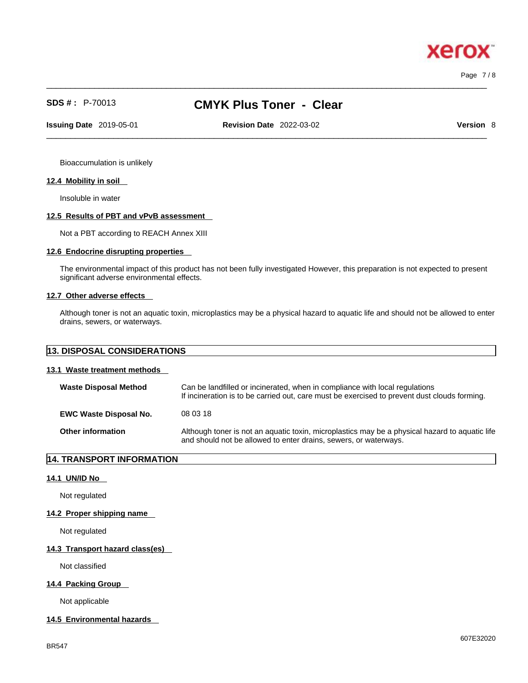Page 7 / 8

xero

# **SDS # :** P-70013 **CMYK Plus Toner - Clear**

 $\_$  ,  $\_$  ,  $\_$  ,  $\_$  ,  $\_$  ,  $\_$  ,  $\_$  ,  $\_$  ,  $\_$  ,  $\_$  ,  $\_$  ,  $\_$  ,  $\_$  ,  $\_$  ,  $\_$  ,  $\_$  ,  $\_$  ,  $\_$  ,  $\_$  ,  $\_$  ,  $\_$  ,  $\_$  ,  $\_$  ,  $\_$  ,  $\_$  ,  $\_$  ,  $\_$  ,  $\_$  ,  $\_$  ,  $\_$  ,  $\_$  ,  $\_$  ,  $\_$  ,  $\_$  ,  $\_$  ,  $\_$  ,  $\_$  ,

 $\_$  ,  $\_$  ,  $\_$  ,  $\_$  ,  $\_$  ,  $\_$  ,  $\_$  ,  $\_$  ,  $\_$  ,  $\_$  ,  $\_$  ,  $\_$  ,  $\_$  ,  $\_$  ,  $\_$  ,  $\_$  ,  $\_$  ,  $\_$  ,  $\_$  ,  $\_$  ,  $\_$  ,  $\_$  ,  $\_$  ,  $\_$  ,  $\_$  ,  $\_$  ,  $\_$  ,  $\_$  ,  $\_$  ,  $\_$  ,  $\_$  ,  $\_$  ,  $\_$  ,  $\_$  ,  $\_$  ,  $\_$  ,  $\_$  , **Issuing Date** 2019-05-01 **Revision Date** 2022-03-02 **Version** 8

Bioaccumulation is unlikely

#### **12.4 Mobility in soil**

Insoluble in water

#### **12.5 Results of PBT and vPvB assessment**

Not a PBT according to REACH Annex XIII

## **12.6 Endocrine disrupting properties**

The environmental impact of this product has not been fully investigated However, this preparation is not expected to present significant adverse environmental effects.

#### **12.7 Other adverse effects**

Although toner is not an aquatic toxin, microplastics may be a physical hazard to aquatic life and should not be allowed to enter drains, sewers, or waterways.

| <b>13. DISPOSAL CONSIDERATIONS</b> |  |
|------------------------------------|--|
|------------------------------------|--|

# **13.1 Waste treatment methods**

| <b>Waste Disposal Method</b>  | Can be landfilled or incinerated, when in compliance with local regulations<br>If incineration is to be carried out, care must be exercised to prevent dust clouds forming. |
|-------------------------------|-----------------------------------------------------------------------------------------------------------------------------------------------------------------------------|
| <b>EWC Waste Disposal No.</b> | 08 03 18                                                                                                                                                                    |
| <b>Other information</b>      | Although toner is not an aquatic toxin, microplastics may be a physical hazard to aquatic life<br>and should not be allowed to enter drains, sewers, or waterways.          |

## **14. TRANSPORT INFORMATION**

## **14.1 UN/ID No**

Not regulated

#### **14.2 Proper shipping name**

Not regulated

#### **14.3 Transport hazard class(es)**

Not classified

### **14.4 Packing Group**

Not applicable

#### **14.5 Environmental hazards**